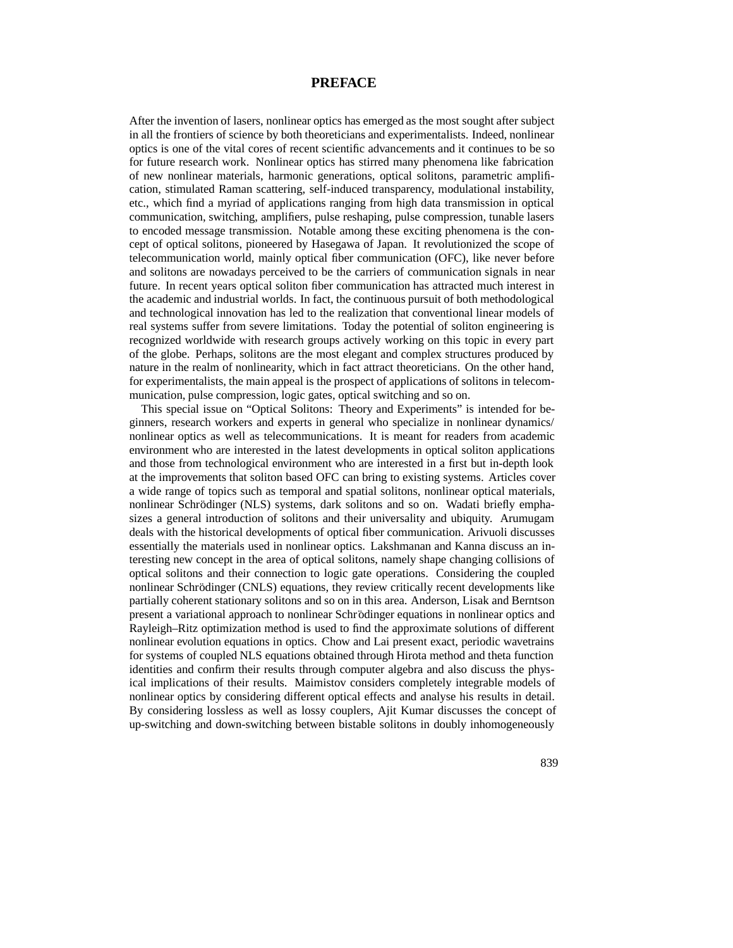## **PREFACE**

After the invention of lasers, nonlinear optics has emerged as the most sought after subject in all the frontiers of science by both theoreticians and experimentalists. Indeed, nonlinear optics is one of the vital cores of recent scientific advancements and it continues to be so for future research work. Nonlinear optics has stirred many phenomena like fabrication of new nonlinear materials, harmonic generations, optical solitons, parametric amplification, stimulated Raman scattering, self-induced transparency, modulational instability, etc., which find a myriad of applications ranging from high data transmission in optical communication, switching, amplifiers, pulse reshaping, pulse compression, tunable lasers to encoded message transmission. Notable among these exciting phenomena is the concept of optical solitons, pioneered by Hasegawa of Japan. It revolutionized the scope of telecommunication world, mainly optical fiber communication (OFC), like never before and solitons are nowadays perceived to be the carriers of communication signals in near future. In recent years optical soliton fiber communication has attracted much interest in the academic and industrial worlds. In fact, the continuous pursuit of both methodological and technological innovation has led to the realization that conventional linear models of real systems suffer from severe limitations. Today the potential of soliton engineering is recognized worldwide with research groups actively working on this topic in every part of the globe. Perhaps, solitons are the most elegant and complex structures produced by nature in the realm of nonlinearity, which in fact attract theoreticians. On the other hand, for experimentalists, the main appeal is the prospect of applications of solitons in telecommunication, pulse compression, logic gates, optical switching and so on.

This special issue on "Optical Solitons: Theory and Experiments" is intended for beginners, research workers and experts in general who specialize in nonlinear dynamics/ nonlinear optics as well as telecommunications. It is meant for readers from academic environment who are interested in the latest developments in optical soliton applications and those from technological environment who are interested in a first but in-depth look at the improvements that soliton based OFC can bring to existing systems. Articles cover a wide range of topics such as temporal and spatial solitons, nonlinear optical materials, nonlinear Schrödinger (NLS) systems, dark solitons and so on. Wadati briefly emphasizes a general introduction of solitons and their universality and ubiquity. Arumugam deals with the historical developments of optical fiber communication. Arivuoli discusses essentially the materials used in nonlinear optics. Lakshmanan and Kanna discuss an interesting new concept in the area of optical solitons, namely shape changing collisions of optical solitons and their connection to logic gate operations. Considering the coupled nonlinear Schrödinger (CNLS) equations, they review critically recent developments like partially coherent stationary solitons and so on in this area. Anderson, Lisak and Berntson present a variational approach to nonlinear Schrödinger equations in nonlinear optics and Rayleigh–Ritz optimization method is used to find the approximate solutions of different nonlinear evolution equations in optics. Chow and Lai present exact, periodic wavetrains for systems of coupled NLS equations obtained through Hirota method and theta function identities and confirm their results through computer algebra and also discuss the physical implications of their results. Maimistov considers completely integrable models of nonlinear optics by considering different optical effects and analyse his results in detail. By considering lossless as well as lossy couplers, Ajit Kumar discusses the concept of up-switching and down-switching between bistable solitons in doubly inhomogeneously